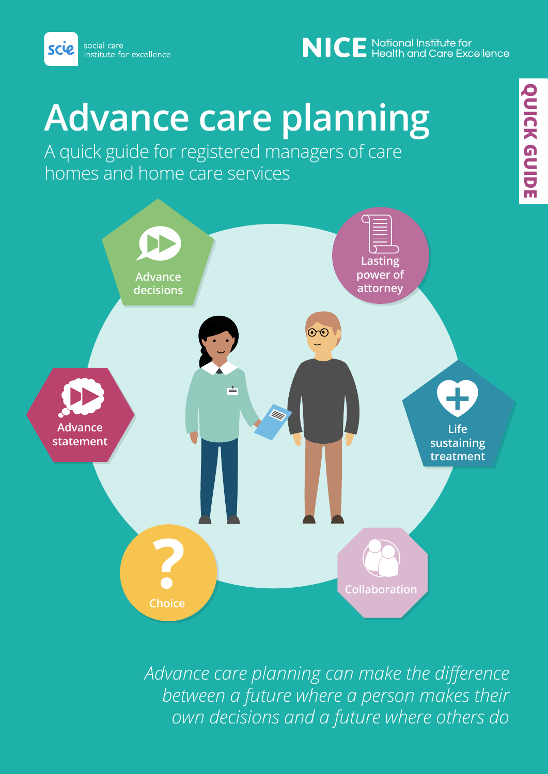

## NICE National Institute for<br>NICE Health and Care Excellence

# **Advance care planning**

A quick guide for registered managers of care homes and home care services



*Advance care planning can make the difference between a future where a person makes their own decisions and a future where others do*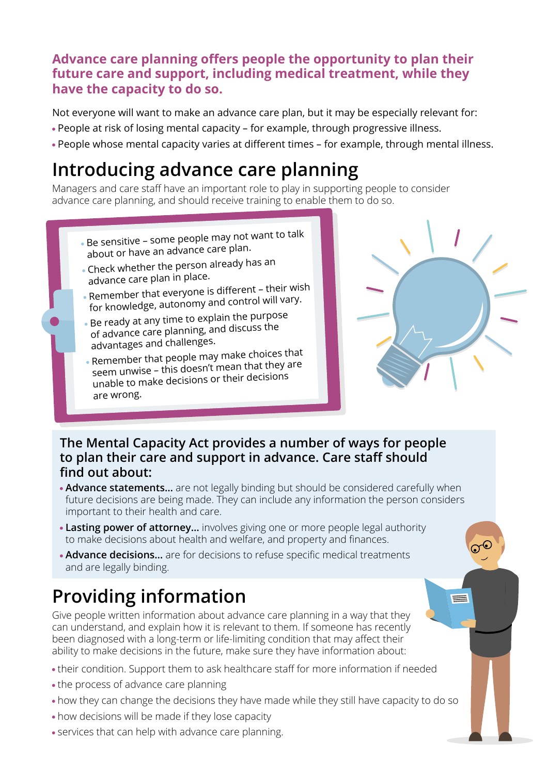#### **Advance care planning offers people the opportunity to plan their future care and support, including medical treatment, while they have the capacity to do so.**

Not everyone will want to make an advance care plan, but it may be especially relevant for:

- People at risk of losing mental capacity for example, through progressive illness.
- People whose mental capacity varies at different times for example, through mental illness.

## **Introducing advance care planning**

Managers and care staff have an important role to play in supporting people to consider advance care planning, and should receive training to enable them to do so.

- Be sensitive some people may not want to talk about or have an advance care plan.
- Check whether the person already has an advance care plan in place.
- Remember that everyone is different their wish for knowledge, autonomy and control will vary.
- Be ready at any time to explain the purpose of advance care planning, and discuss the advantages and challenges.
- Remember that people may make choices that seem unwise – this doesn't mean that they are unable to make decisions or their decisions are wrong.



≡

#### **The Mental Capacity Act provides a number of ways for people to plan their care and support in advance. Care staff should find out about:**

- **Advance statements…** are not legally binding but should be considered carefully when future decisions are being made. They can include any information the person considers important to their health and care.
- **Lasting power of attorney…** involves giving one or more people legal authority to make decisions about health and welfare, and property and finances.
- **Advance decisions…** are for decisions to refuse specific medical treatments and are legally binding.

## **Providing information**

Give people written information about advance care planning in a way that they can understand, and explain how it is relevant to them. If someone has recently been diagnosed with a long-term or life-limiting condition that may affect their ability to make decisions in the future, make sure they have information about:

- their condition. Support them to ask healthcare staff for more information if needed
- the process of advance care planning
- how they can change the decisions they have made while they still have capacity to do so
- how decisions will be made if they lose capacity
- services that can help with advance care planning.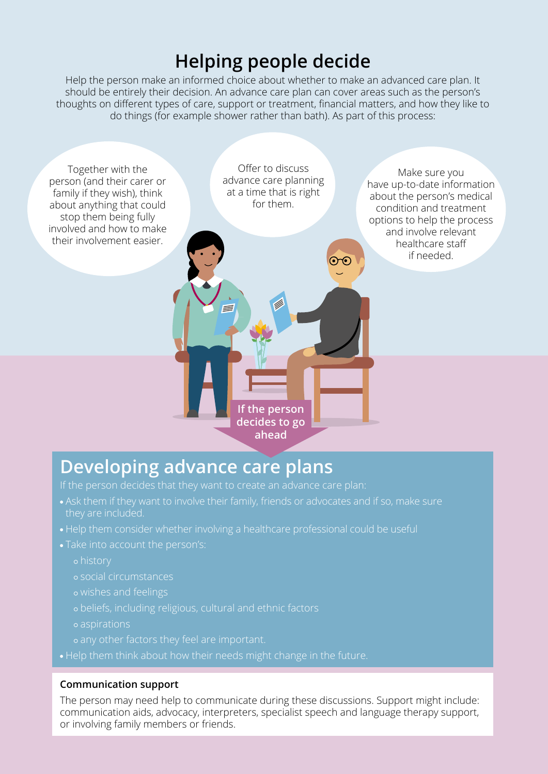## **Helping people decide**

Help the person make an informed choice about whether to make an advanced care plan. It should be entirely their decision. An advance care plan can cover areas such as the person's thoughts on different types of care, support or treatment, financial matters, and how they like to do things (for example shower rather than bath). As part of this process:



## **Developing advance care plans**

- they are included.
- Help them consider whether involving a healthcare professional could be useful
- - history
	- social circumstances
	- wishes and feelings
	-
	- aspirations
	-
- Help them think about how their needs might change in the future.

#### **Communication support**

The person may need help to communicate during these discussions. Support might include: communication aids, advocacy, interpreters, specialist speech and language therapy support, or involving family members or friends.